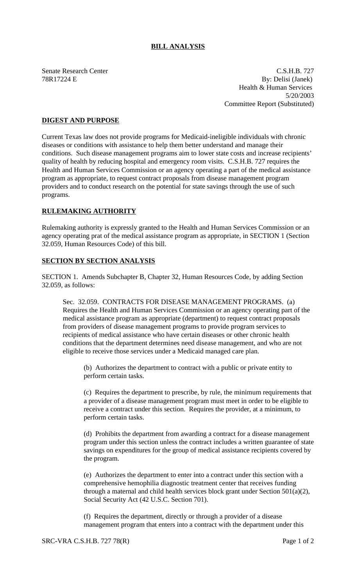## **BILL ANALYSIS**

Senate Research Center Cases and C.S.H.B. 727 78R17224 E By: Delisi (Janek) Health & Human Services 5/20/2003 Committee Report (Substituted)

## **DIGEST AND PURPOSE**

Current Texas law does not provide programs for Medicaid-ineligible individuals with chronic diseases or conditions with assistance to help them better understand and manage their conditions. Such disease management programs aim to lower state costs and increase recipients' quality of health by reducing hospital and emergency room visits. C.S.H.B. 727 requires the Health and Human Services Commission or an agency operating a part of the medical assistance program as appropriate, to request contract proposals from disease management program providers and to conduct research on the potential for state savings through the use of such programs.

## **RULEMAKING AUTHORITY**

Rulemaking authority is expressly granted to the Health and Human Services Commission or an agency operating prat of the medical assistance program as appropriate, in SECTION 1 (Section 32.059, Human Resources Code) of this bill.

## **SECTION BY SECTION ANALYSIS**

SECTION 1. Amends Subchapter B, Chapter 32, Human Resources Code, by adding Section 32.059, as follows:

Sec. 32.059. CONTRACTS FOR DISEASE MANAGEMENT PROGRAMS. (a) Requires the Health and Human Services Commission or an agency operating part of the medical assistance program as appropriate (department) to request contract proposals from providers of disease management programs to provide program services to recipients of medical assistance who have certain diseases or other chronic health conditions that the department determines need disease management, and who are not eligible to receive those services under a Medicaid managed care plan.

(b) Authorizes the department to contract with a public or private entity to perform certain tasks.

(c) Requires the department to prescribe, by rule, the minimum requirements that a provider of a disease management program must meet in order to be eligible to receive a contract under this section. Requires the provider, at a minimum, to perform certain tasks.

(d) Prohibits the department from awarding a contract for a disease management program under this section unless the contract includes a written guarantee of state savings on expenditures for the group of medical assistance recipients covered by the program.

(e) Authorizes the department to enter into a contract under this section with a comprehensive hemophilia diagnostic treatment center that receives funding through a maternal and child health services block grant under Section 501(a)(2), Social Security Act (42 U.S.C. Section 701).

(f) Requires the department, directly or through a provider of a disease management program that enters into a contract with the department under this